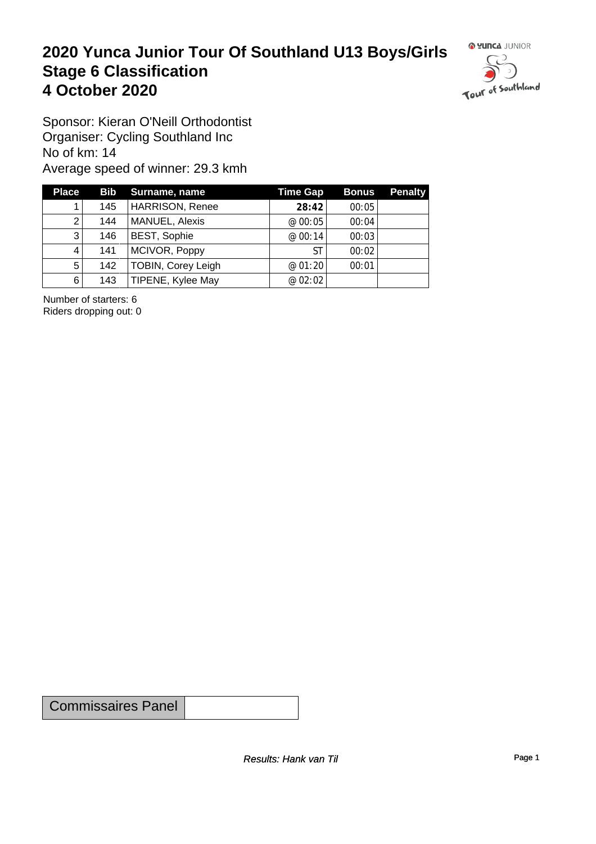#### **2020 Yunca Junior Tour Of Southland U13 Boys/Girls** Stage 6 Classification<br>4 October 2020 **4 October 2020**



Sponsor: Kieran O'Neill Orthodontist Organiser: Cycling Southland Inc No of km: 14 Average speed of winner: 29.3 kmh

| <b>Place</b>          |     | Bib Surname, name      | <b>Time Gap</b> | <b>Bonus</b> | <b>Penalty</b> |
|-----------------------|-----|------------------------|-----------------|--------------|----------------|
|                       | 145 | <b>HARRISON, Renee</b> | 28:42           | 00:05        |                |
| $\mathbf{2}^{\prime}$ | 144 | MANUEL, Alexis         | @ 00:05         | 00:04        |                |
| 3                     | 146 | BEST, Sophie           | @00:14          | 00:03        |                |
| 4                     | 141 | MCIVOR, Poppy          | <b>ST</b>       | 00:02        |                |
| 5                     | 142 | TOBIN, Corey Leigh     | @01:20          | 00:01        |                |
| 6                     | 143 | TIPENE, Kylee May      | @ 02:02         |              |                |

Number of starters: 6 Riders dropping out: 0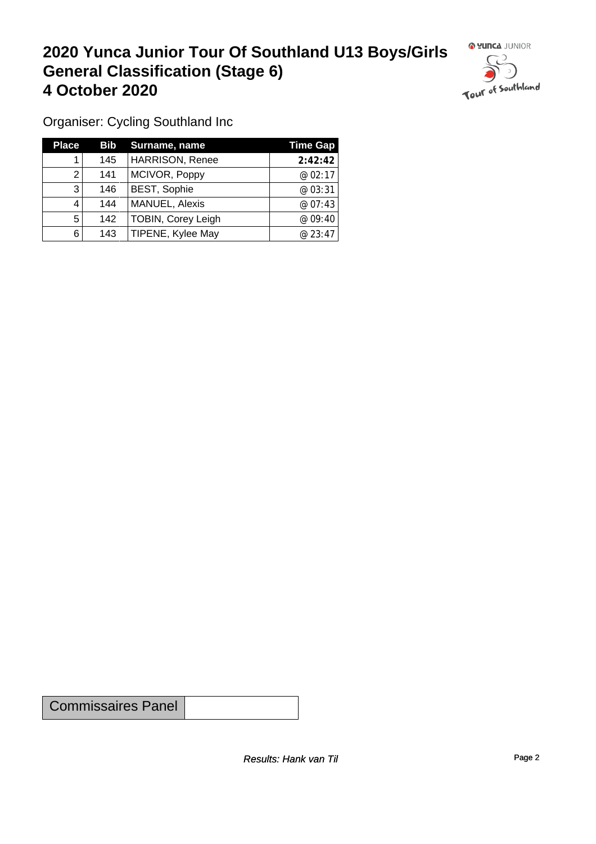## **2020 Yunca Junior Tour Of Southland U13 Boys/Girls General Classification (Stage 6)**<br>4 October 2020 **4 October 2020**



Organiser: Cycling Southland Inc

| <b>Place</b> |     | Bib Surname, name      | Time Gap |
|--------------|-----|------------------------|----------|
|              | 145 | <b>HARRISON, Renee</b> | 2:42:42  |
|              | 141 | MCIVOR, Poppy          | @02:17   |
| 3            | 146 | <b>BEST, Sophie</b>    | @ 03:31  |
| 4            | 144 | MANUEL, Alexis         | @ 07:43  |
| 5            | 142 | TOBIN, Corey Leigh     | @09:40   |
| 6            | 143 | TIPENE, Kylee May      | @23:47   |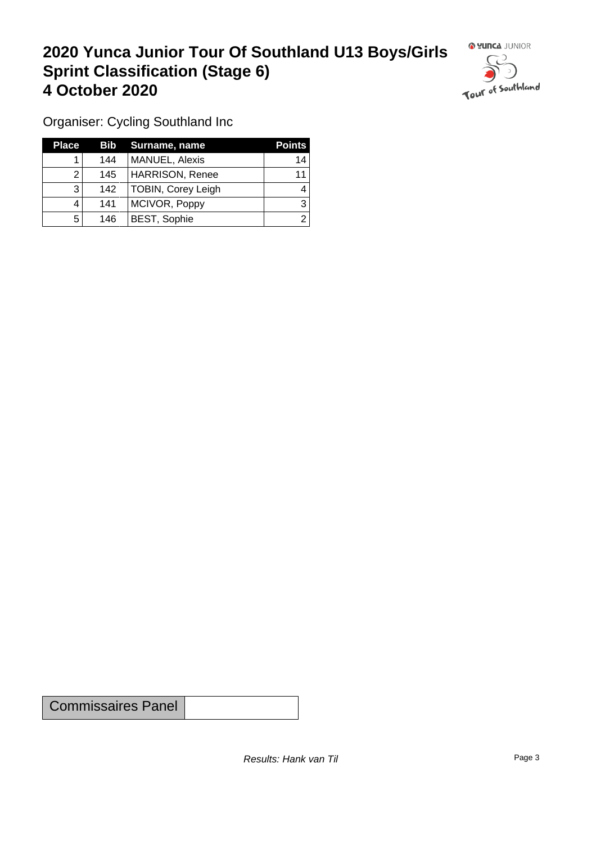### **2020 Yunca Junior Tour Of Southland U13 Boys/Girls Sprint Classification (Stage 6) 4 October 2020**



Organiser: Cycling Southland Inc

| <b>Place</b> |     | <b>Bib</b> Surname, name | <b>Points</b> |
|--------------|-----|--------------------------|---------------|
|              | 144 | <b>MANUEL, Alexis</b>    | 14            |
|              | 145 | <b>HARRISON, Renee</b>   | 11            |
| 3            | 142 | TOBIN, Corey Leigh       |               |
|              | 141 | MCIVOR, Poppy            |               |
| 5            | 146 | <b>BEST, Sophie</b>      |               |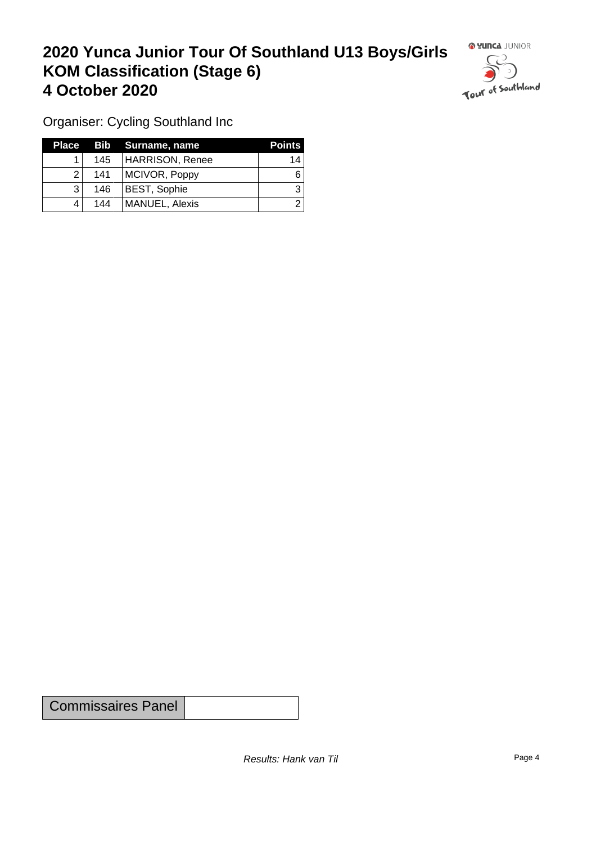### **2020 Yunca Junior Tour Of Southland U13 Boys/Girls KOM Classification (Stage 6) 4 October 2020**



Organiser: Cycling Southland Inc

| Place |     | <b>Bib</b> Surname, name | <b>Points</b> |
|-------|-----|--------------------------|---------------|
|       | 145 | HARRISON, Renee          | 14            |
|       | 141 | MCIVOR, Poppy            | 6             |
| 3     | 146 | <b>BEST, Sophie</b>      |               |
| Δ     | 144 | MANUEL, Alexis           |               |